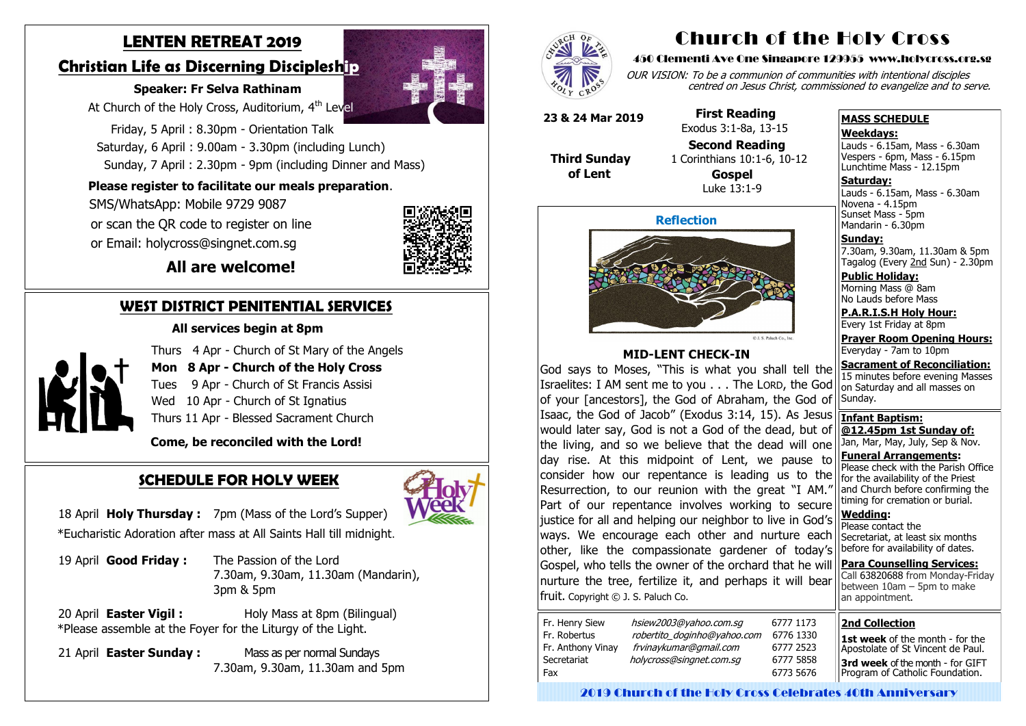# **LENTEN RETREAT 2019**

### **Christian Life as Discerning Discipleship**

### **Speaker: Fr Selva Rathinam**

At Church of the Holy Cross, Auditorium, 4<sup>th</sup> Level

 Friday, 5 April : 8.30pm - Orientation Talk Saturday, 6 April : 9.00am - 3.30pm (including Lunch) Sunday, 7 April : 2.30pm - 9pm (including Dinner and Mass)

### **Please register to facilitate our meals preparation**.

 SMS/WhatsApp: Mobile 9729 9087 or scan the QR code to register on line

or Email: holycross@singnet.com.sg



 **All are welcome!**

### **WEST DISTRICT PENITENTIAL SERVICES**

#### **All services begin at 8pm**



Thurs 4 Apr - Church of St Mary of the Angels

- **Mon 8 Apr - Church of the Holy Cross**
- Tues 9 Apr Church of St Francis Assisi
- Wed 10 Apr Church of St Ignatius

Thurs 11 Apr - Blessed Sacrament Church

 **Come, be reconciled with the Lord!**

### **SCHEDULE FOR HOLY WEEK**



18 April **Holy Thursday :** 7pm (Mass of the Lord's Supper) \*Eucharistic Adoration after mass at All Saints Hall till midnight. Novena - 4.15pm Sunset Mass - 5pm Mandarin - 6.30pm

19 April **Good Friday :** The Passion of the Lord 7.30am, 9.30am, 11.30am (Mandarin), 3pm & 5pm

20 April **Easter Vigil :** Holy Mass at 8pm (Bilingual) \*Please assemble at the Foyer for the Liturgy of the Light.

21 April **Easter Sunday :** Mass as per normal Sundays 7.30am, 9.30am, 11.30am and 5pm



# Church of the Holy Cross

#### 450 Clementi Ave One Singapore 129955 www.holycross.org.sg

OUR VISION: To be a communion of communities with intentional disciples centred on Jesus Christ, commissioned to evangelize and to serve.

#### **MASS SCHEDULE**

#### **Weekdays:**

Lauds - 6.15am, Mass - 6.30am Vespers - 6pm, Mass - 6.15pm Lunchtime Mass - 12.15pm

**Saturday:** Lauds - 6.15am, Mass - 6.30am

**Sunday:** 7.30am, 9.30am, 11.30am & 5pm Tagalog (Every 2nd Sun) - 2.30pm

**Public Holiday:**  Morning Mass @ 8am No Lauds before Mass

**P.A.R.I.S.H Holy Hour:** Every 1st Friday at 8pm

**Prayer Room Opening Hours:** Everyday - 7am to 10pm

**Sacrament of Reconciliation:** 15 minutes before evening Masses on Saturday and all masses on Sunday.

**Infant Baptism: @12.45pm 1st Sunday of:** Jan, Mar, May, July, Sep & Nov. **Funeral Arrangements:** 

Please check with the Parish Office for the availability of the Priest and Church before confirming the timing for cremation or burial.

**Wedding:**  Please contact the Secretariat, at least six months before for availability of dates.

**Para Counselling Services:** Call [63820688](tel:+6563820688) from Monday-Friday between  $10$ am – 5pm to make an appointment.



#### **MID-LENT CHECK-IN**

God says to Moses, "This is what you shall tell the Israelites: I AM sent me to you . . . The LORD, the God of your [ancestors], the God of Abraham, the God of Isaac, the God of Jacob" (Exodus 3:14, 15). As Jesus would later say, God is not a God of the dead, but of the living, and so we believe that the dead will one day rise. At this midpoint of Lent, we pause to consider how our repentance is leading us to the Resurrection, to our reunion with the great "I AM." Part of our repentance involves working to secure justice for all and helping our neighbor to live in God's ways. We encourage each other and nurture each other, like the compassionate gardener of today's Gospel, who tells the owner of the orchard that he will nurture the tree, fertilize it, and perhaps it will bear fruit. Copyright © J. S. Paluch Co.

| Fr. Henry Siew<br>Fr. Robertus<br>Fr. Anthony Vinay | hsiew2003@yahoo.com.sq<br>robertito_doginho@yahoo.com<br>frvinaykumar@gmail.com |  |
|-----------------------------------------------------|---------------------------------------------------------------------------------|--|
| Secretariat<br>Fax                                  | holycross@singnet.com.sq                                                        |  |
|                                                     |                                                                                 |  |

**23 & 24 Mar 2019**

 **Third Sunday**

 **of Lent**

# **First Reading**

 Exodus 3:1-8a, 13-15 **Second Reading** 1 Corinthians 10:1-6, 10-12

 **Gospel** Luke 13:1-9

#### **2nd Collection**

**1st week** of the month - for the Apostolate of St Vincent de Paul. **3rd week** of the month - for GIFT Program of Catholic Foundation.